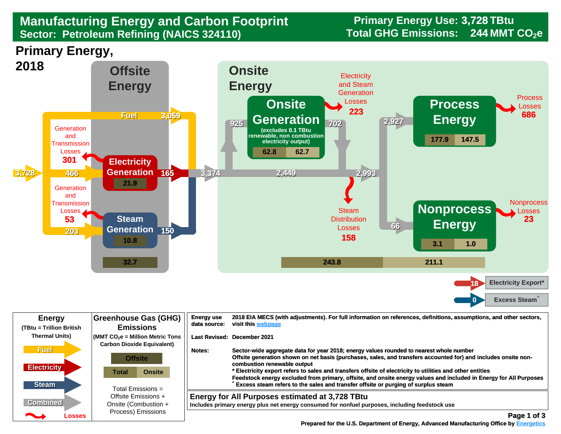## **Manufacturing Energy and Carbon Footprint Frimary Energy Use: 3**<br>Sector: Petroleum Refining (NAICS 324110) Total GHG Emissions: **Sector: Petroleum Refining (NAICS 324110)**

**Primary Energy Use: 3,728 TBtu** 244 MMT CO<sub>2</sub>e

**Primary Energy,** 



| <b>Energy</b><br>(TBtu = Trillion British                                                                                                                                                                                                                         | <b>Greenhouse Gas (GHG)</b><br><b>Emissions</b>                                                          | <b>Energy use</b><br>data source: | 2018 EIA MECS (with adjustments). For full information on references, definitions, assumptions, and other sectors,<br>visit this webpage                                                                                                                                                                                                                                                                                                                                                                                                                        |
|-------------------------------------------------------------------------------------------------------------------------------------------------------------------------------------------------------------------------------------------------------------------|----------------------------------------------------------------------------------------------------------|-----------------------------------|-----------------------------------------------------------------------------------------------------------------------------------------------------------------------------------------------------------------------------------------------------------------------------------------------------------------------------------------------------------------------------------------------------------------------------------------------------------------------------------------------------------------------------------------------------------------|
| <b>Thermal Units)</b>                                                                                                                                                                                                                                             | $\sqrt{\frac{1}{100}}$ (MMT CO <sub>2</sub> e = Million Metric Tons<br><b>Carbon Dioxide Equivalent)</b> |                                   | Last Revised: December 2021                                                                                                                                                                                                                                                                                                                                                                                                                                                                                                                                     |
| <b>Fuel</b><br><b>Electricity</b><br><b>Steam</b>                                                                                                                                                                                                                 | <b>Offsite</b><br><b>Onsite</b><br>Total                                                                 | Notes:                            | Sector-wide aggregate data for year 2018; energy values rounded to nearest whole number<br>Offsite generation shown on net basis (purchases, sales, and transfers accounted for) and includes onsite non-<br>combustion renewable output<br>* Electricity export refers to sales and transfers offsite of electricity to utilities and other entities<br>Feedstock energy excluded from primary, offsite, and onsite energy values and included in Energy for All Purposes<br>Excess steam refers to the sales and transfer offsite or purging of surplus steam |
| <b>Combined</b><br><u>android and the second second in the second second in the second second in the second second in the second second in the second second in the second second second in the second second second second second second second se</u><br>Losses | Total Emissions =<br>Offsite Emissions +<br>Onsite (Combustion +<br>Process) Emissions                   |                                   | Energy for All Purposes estimated at 3,728 TBtu<br>Includes primary energy plus net energy consumed for nonfuel purposes, including feedstock use<br>Page 1 of 3                                                                                                                                                                                                                                                                                                                                                                                                |

 **[Prepared for the U.S. Department of Energy, Advanced Manufacturing Office by Energetics](https://www.energetics.com/) Manufacturing Energetics**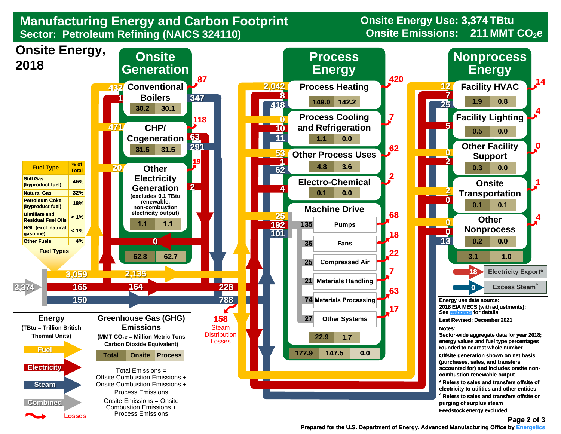## **Manufacturing Energy and Carbon Footprint Sector: Petroleum Refining (NAICS 324110)**

**Onsite Energy Use: 3,374 TBtu Onsite Emissions: 211 MMT CO<sub>2</sub>e** 



 **[Prepared for the U.S. Department of Energy, Advanced Manufacturing Office by Energetics](https://www.energetics.com/) Energetics**